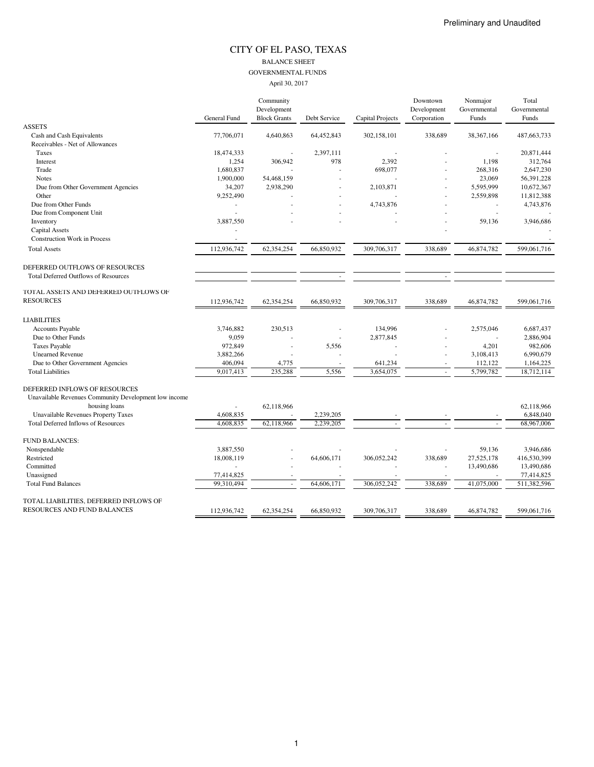#### CITY OF EL PASO, TEXAS BALANCE SHEET GOVERNMENTAL FUNDS April 30, 2017

|                                                       |              | Community           |              |                  | Downtown    | Nonmajor     | Total         |
|-------------------------------------------------------|--------------|---------------------|--------------|------------------|-------------|--------------|---------------|
|                                                       |              | Development         |              |                  | Development | Governmental | Governmental  |
|                                                       | General Fund | <b>Block Grants</b> | Debt Service | Capital Projects | Corporation | Funds        | Funds         |
| <b>ASSETS</b>                                         |              |                     |              |                  |             |              |               |
| Cash and Cash Equivalents                             | 77,706,071   | 4,640,863           | 64,452,843   | 302,158,101      | 338,689     | 38, 367, 166 | 487, 663, 733 |
| Receivables - Net of Allowances                       |              |                     |              |                  |             |              |               |
| Taxes                                                 | 18,474,333   |                     | 2,397,111    |                  |             |              | 20,871,444    |
| Interest                                              | 1,254        | 306,942             | 978          | 2,392            |             | 1,198        | 312,764       |
| Trade                                                 | 1,680,837    |                     |              | 698,077          |             | 268,316      | 2,647,230     |
| <b>Notes</b>                                          | 1,900,000    | 54,468,159          |              |                  |             | 23,069       | 56,391,228    |
| Due from Other Government Agencies                    | 34,207       | 2,938,290           |              | 2,103,871        |             | 5,595,999    | 10,672,367    |
| Other                                                 | 9,252,490    |                     |              |                  |             | 2,559,898    | 11,812,388    |
| Due from Other Funds                                  | ä,           |                     |              | 4,743,876        |             |              | 4,743,876     |
| Due from Component Unit                               |              |                     |              |                  |             |              |               |
| Inventory                                             | 3,887,550    |                     |              |                  |             | 59,136       | 3,946,686     |
| <b>Capital Assets</b>                                 |              |                     |              |                  |             |              |               |
| <b>Construction Work in Process</b>                   | $\sim$       |                     |              |                  |             |              |               |
| <b>Total Assets</b>                                   | 112,936,742  | 62,354,254          | 66,850,932   | 309,706,317      | 338,689     | 46,874,782   | 599,061,716   |
| DEFERRED OUTFLOWS OF RESOURCES                        |              |                     |              |                  |             |              |               |
| <b>Total Deferred Outflows of Resources</b>           |              |                     |              |                  |             |              |               |
| TOTAL ASSETS AND DEFERRED OUTFLOWS OF                 |              |                     |              |                  |             |              |               |
| <b>RESOURCES</b>                                      | 112,936,742  | 62,354,254          | 66,850,932   | 309,706,317      | 338,689     | 46,874,782   | 599,061,716   |
| <b>LIABILITIES</b>                                    |              |                     |              |                  |             |              |               |
| <b>Accounts Payable</b>                               | 3,746,882    | 230,513             |              | 134,996          |             | 2,575,046    | 6,687,437     |
| Due to Other Funds                                    | 9,059        |                     |              | 2,877,845        |             |              | 2,886,904     |
| <b>Taxes Payable</b>                                  | 972,849      |                     | 5,556        |                  |             | 4,201        | 982,606       |
| <b>Unearned Revenue</b>                               | 3,882,266    |                     |              |                  |             | 3,108,413    | 6,990,679     |
| Due to Other Government Agencies                      | 406,094      | 4,775               |              | 641,234          |             | 112,122      | 1,164,225     |
| <b>Total Liabilities</b>                              | 9,017,413    | 235,288             | 5,556        | 3,654,075        |             | 5,799,782    | 18,712,114    |
| DEFERRED INFLOWS OF RESOURCES                         |              |                     |              |                  |             |              |               |
| Unavailable Revenues Community Development low income |              |                     |              |                  |             |              |               |
| housing loans                                         |              | 62,118,966          |              |                  |             |              | 62,118,966    |
| <b>Unavailable Revenues Property Taxes</b>            | 4,608,835    |                     | 2,239,205    |                  |             |              | 6,848,040     |
| <b>Total Deferred Inflows of Resources</b>            | 4,608,835    | 62,118,966          | 2,239,205    |                  |             |              | 68,967,006    |
| <b>FUND BALANCES:</b>                                 |              |                     |              |                  |             |              |               |
| Nonspendable                                          | 3,887,550    |                     |              |                  |             | 59,136       | 3,946,686     |
| Restricted                                            | 18,008,119   |                     | 64,606,171   | 306,052,242      | 338,689     | 27,525,178   | 416,530,399   |
| Committed                                             |              |                     |              |                  |             | 13,490,686   | 13,490,686    |
| Unassigned                                            | 77,414,825   |                     |              |                  |             |              | 77,414,825    |
| <b>Total Fund Balances</b>                            | 99.310.494   |                     | 64,606,171   | 306.052.242      | 338,689     | 41,075,000   | 511,382,596   |
| TOTAL LIABILITIES, DEFERRED INFLOWS OF                |              |                     |              |                  |             |              |               |
| RESOURCES AND FUND BALANCES                           | 112,936,742  | 62,354,254          | 66,850,932   | 309,706,317      | 338,689     | 46,874,782   | 599,061,716   |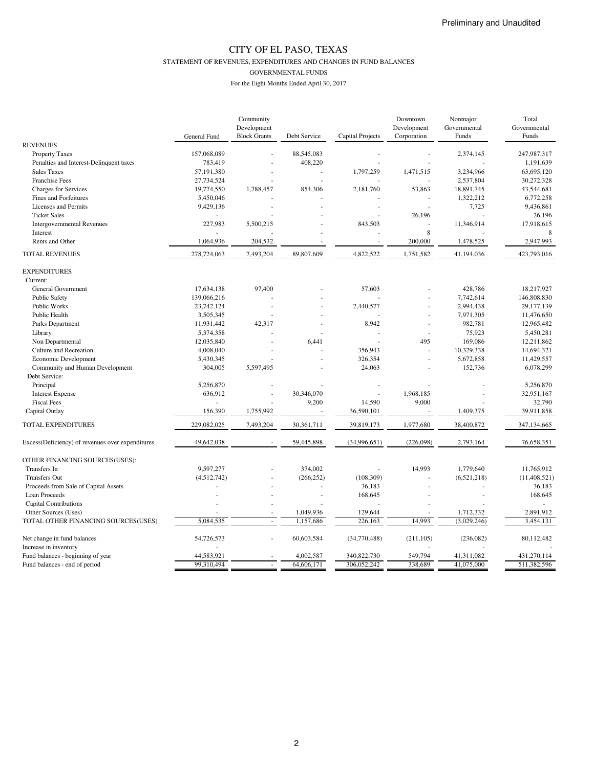STATEMENT OF REVENUES, EXPENDITURES AND CHANGES IN FUND BALANCES

GOVERNMENTAL FUNDS

|                                                                    |              | Community           |                |                  | Downtown       | Nonmajor     | Total          |
|--------------------------------------------------------------------|--------------|---------------------|----------------|------------------|----------------|--------------|----------------|
|                                                                    |              | Development         |                |                  | Development    | Governmental | Governmental   |
|                                                                    | General Fund | <b>Block Grants</b> | Debt Service   | Capital Projects | Corporation    | Funds        | Funds          |
| <b>REVENUES</b>                                                    |              |                     |                |                  |                |              |                |
| <b>Property Taxes</b>                                              | 157,068,089  |                     | 88,545,083     |                  |                | 2,374,145    | 247,987,317    |
| Penalties and Interest-Delinquent taxes                            | 783,419      |                     | 408,220        |                  |                |              | 1,191,639      |
| <b>Sales Taxes</b>                                                 | 57,191,380   |                     |                | 1,797,259        | 1,471,515      | 3,234,966    | 63,695,120     |
| Franchise Fees                                                     | 27,734,524   |                     |                |                  |                | 2,537,804    | 30,272,328     |
| Charges for Services                                               | 19,774,550   | 1,788,457           | 854,306        | 2,181,760        | 53,863         | 18,891,745   | 43,544,681     |
| Fines and Forfeitures                                              | 5,450,046    |                     |                |                  |                | 1,322,212    | 6,772,258      |
| Licenses and Permits                                               | 9,429,136    |                     |                | $\overline{a}$   |                | 7,725        | 9,436,861      |
| <b>Ticket Sales</b>                                                |              |                     |                |                  | 26,196         |              | 26,196         |
| <b>Intergovernmental Revenues</b>                                  | 227,983      | 5,500,215           |                | 843,503          |                | 11,346,914   | 17,918,615     |
| Interest                                                           |              |                     |                |                  | 8              |              |                |
| Rents and Other                                                    | 1,064,936    | 204,532             |                |                  | 200,000        | 1,478,525    | 2,947,993      |
| TOTAL REVENUES                                                     | 278,724,063  | 7,493,204           | 89,807,609     | 4,822,522        | 1,751,582      | 41,194,036   | 423,793,016    |
| <b>EXPENDITURES</b>                                                |              |                     |                |                  |                |              |                |
| Current:                                                           |              |                     |                |                  |                |              |                |
| General Government                                                 | 17,634,138   | 97,400              |                | 57,603           |                | 428.786      | 18,217,927     |
| <b>Public Safety</b>                                               | 139,066,216  |                     |                |                  |                | 7,742,614    | 146,808,830    |
| Public Works                                                       | 23,742,124   | ä,                  |                | 2,440,577        | $\sim$         | 2,994,438    | 29,177,139     |
| Public Health                                                      | 3,505,345    |                     |                |                  |                | 7,971,305    | 11,476,650     |
| Parks Department                                                   | 11,931,442   | 42,317              |                | 8,942            | ÷.             | 982,781      | 12,965,482     |
| Library                                                            | 5,374,358    |                     |                |                  |                | 75,923       | 5,450,281      |
| Non Departmental                                                   | 12,035,840   |                     | 6,441          |                  | 495            | 169,086      | 12,211,862     |
| Culture and Recreation                                             | 4,008,040    |                     |                | 356,943          | ×,             | 10,329,338   | 14,694,321     |
| Economic Development                                               | 5,430,345    |                     |                | 326,354          | $\overline{a}$ | 5,672,858    | 11,429,557     |
| Community and Human Development                                    | 304,005      | 5,597,495           |                | 24,063           |                | 152,736      | 6,078,299      |
| Debt Service:                                                      |              |                     |                |                  |                |              |                |
| Principal                                                          | 5,256,870    |                     |                | $\sim$           | $\sim$         |              | 5,256,870      |
| <b>Interest Expense</b>                                            | 636,912      | ÷,                  | 30,346,070     |                  | 1,968,185      |              | 32,951,167     |
| <b>Fiscal Fees</b>                                                 |              |                     | 9,200          | 14,590           | 9,000          |              | 32,790         |
|                                                                    |              |                     |                | 36,590,101       |                |              |                |
| Capital Outlay                                                     | 156,390      | 1,755,992           |                |                  |                | 1,409,375    | 39,911,858     |
| TOTAL EXPENDITURES                                                 | 229,082,025  | 7,493,204           | 30,361,711     | 39,819,173       | 1,977,680      | 38,400,872   | 347,134,665    |
| Excess(Deficiency) of revenues over expenditures                   | 49,642,038   |                     | 59,445,898     | (34,996,651)     | (226,098)      | 2,793,164    | 76,658,351     |
| OTHER FINANCING SOURCES(USES):                                     |              |                     |                |                  |                |              |                |
| Transfers In                                                       | 9,597,277    |                     | 374,002        |                  | 14,993         | 1,779,640    | 11,765,912     |
| <b>Transfers Out</b>                                               | (4,512,742)  |                     | (266, 252)     | (108, 309)       |                | (6,521,218)  | (11, 408, 521) |
| Proceeds from Sale of Capital Assets                               |              |                     | ÷,             | 36,183           | ÷,             |              | 36,183         |
| Loan Proceeds                                                      |              |                     | $\overline{a}$ | 168,645          |                |              | 168,645        |
| <b>Capital Contributions</b>                                       |              |                     |                |                  |                |              |                |
| Other Sources (Uses)                                               |              |                     | 1,049,936      | 129,644          |                | 1,712,332    | 2,891,912      |
| TOTAL OTHER FINANCING SOURCES(USES)                                | 5,084,535    |                     | 1,157,686      | 226,163          | 14,993         | (3,029,246)  | 3,454,131      |
| Net change in fund balances                                        | 54,726,573   | ä,                  | 60,603,584     | (34,770,488)     | (211, 105)     | (236,082)    | 80,112,482     |
|                                                                    |              |                     |                |                  |                |              |                |
| Increase in inventory                                              | 44.583.921   |                     | 4.002.587      | 340,822,730      | 549.794        | 41.311.082   | 431.270.114    |
| Fund balances - beginning of year<br>Fund balances - end of period | 99,310,494   |                     | 64,606,171     | 306,052,242      | 338,689        | 41,075,000   | 511,382,596    |
|                                                                    |              |                     |                |                  |                |              |                |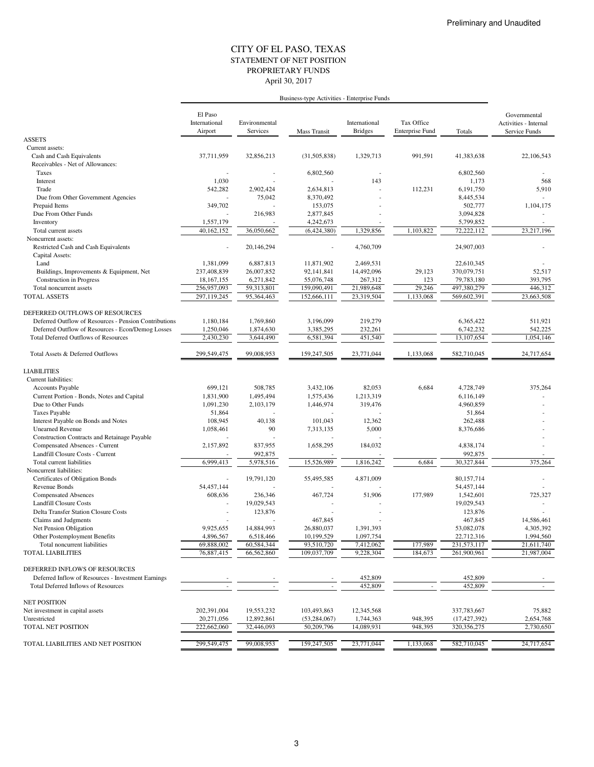#### STATEMENT OF NET POSITION CITY OF EL PASO, TEXAS April 30, 2017 PROPRIETARY FUNDS

|                                                       | El Paso<br>International<br>Airport | Environmental<br>Services | Mass Transit             | International<br><b>Bridges</b> | Tax Office<br>Enterprise Fund | Totals         | Governmental<br>Activities - Internal<br>Service Funds |
|-------------------------------------------------------|-------------------------------------|---------------------------|--------------------------|---------------------------------|-------------------------------|----------------|--------------------------------------------------------|
| <b>ASSETS</b>                                         |                                     |                           |                          |                                 |                               |                |                                                        |
| Current assets:                                       |                                     |                           |                          |                                 |                               |                |                                                        |
| Cash and Cash Equivalents                             | 37,711,959                          | 32,856,213                | (31, 505, 838)           | 1,329,713                       | 991,591                       | 41,383,638     | 22,106,543                                             |
| Receivables - Net of Allowances:                      |                                     |                           |                          |                                 |                               |                |                                                        |
| Taxes                                                 |                                     |                           | 6,802,560                |                                 |                               | 6,802,560      |                                                        |
| Interest                                              | 1,030                               |                           |                          | 143                             |                               | 1,173          | 568                                                    |
| Trade                                                 | 542,282                             | 2,902,424                 | 2,634,813                |                                 | 112,231                       | 6,191,750      | 5,910                                                  |
| Due from Other Government Agencies                    |                                     | 75,042                    | 8,370,492                |                                 |                               | 8,445,534      |                                                        |
| Prepaid Items                                         | 349,702                             |                           | 153,075                  |                                 |                               | 502,777        | 1,104,175                                              |
| Due From Other Funds                                  |                                     | 216,983                   | 2,877,845                |                                 |                               | 3,094,828      |                                                        |
| Inventory                                             | 1,557,179                           |                           | 4,242,673                |                                 |                               | 5,799,852      |                                                        |
| Total current assets                                  | 40,162,152                          | 36,050,662                | (6,424,380)              | 1,329,856                       | 1,103,822                     | 72,222,112     | 23,217,196                                             |
| Noncurrent assets:                                    |                                     |                           |                          |                                 |                               |                |                                                        |
| Restricted Cash and Cash Equivalents                  |                                     | 20,146,294                |                          | 4,760,709                       |                               | 24,907,003     |                                                        |
| Capital Assets:                                       |                                     |                           |                          |                                 |                               |                |                                                        |
| Land                                                  | 1,381,099                           | 6,887,813                 | 11,871,902               | 2,469,531                       |                               | 22,610,345     |                                                        |
| Buildings, Improvements & Equipment, Net              | 237,408,839                         | 26,007,852                | 92,141,841               | 14,492,096                      | 29,123                        | 370,079,751    | 52,517                                                 |
| <b>Construction</b> in Progress                       | 18,167,155                          | 6,271,842                 | 55,076,748               | 267,312                         | 123                           | 79,783,180     | 393,795                                                |
| Total noncurrent assets                               | 256,957,093                         | 59,313,801                | 159,090,491              | 21,989,648                      | 29,246                        | 497,380,279    | 446,312                                                |
| TOTAL ASSETS                                          | 297,119,245                         | 95,364,463                | 152,666,111              | 23,319,504                      | 1,133,068                     | 569,602,391    | 23,663,508                                             |
|                                                       |                                     |                           |                          |                                 |                               |                |                                                        |
| DEFERRED OUTFLOWS OF RESOURCES                        |                                     |                           |                          |                                 |                               |                |                                                        |
| Deferred Outflow of Resources - Pension Contributions | 1.180.184                           | 1,769,860                 | 3.196.099                | 219,279                         |                               | 6,365,422      | 511,921                                                |
| Deferred Outflow of Resources - Econ/Demog Losses     | 1,250,046                           | 1,874,630                 | 3,385,295                | 232,261                         |                               | 6,742,232      | 542,225                                                |
| <b>Total Deferred Outflows of Resources</b>           | 2.430.230                           | 3,644,490                 | 6,581,394                | 451,540                         |                               | 13,107,654     | 1,054,146                                              |
| Total Assets & Deferred Outflows                      | 299,549,475                         | 99,008,953                | 159,247,505              | 23,771,044                      | 1,133,068                     | 582,710,045    | 24,717,654                                             |
|                                                       |                                     |                           |                          |                                 |                               |                |                                                        |
| <b>LIABILITIES</b>                                    |                                     |                           |                          |                                 |                               |                |                                                        |
| Current liabilities:                                  |                                     |                           |                          |                                 |                               |                |                                                        |
| Accounts Payable                                      | 699,121                             | 508,785                   | 3,432,106                | 82,053                          | 6,684                         | 4,728,749      | 375,264                                                |
| Current Portion - Bonds, Notes and Capital            | 1,831,900                           | 1,495,494                 | 1,575,436                | 1,213,319                       |                               | 6,116,149      |                                                        |
| Due to Other Funds                                    | 1,091,230                           | 2,103,179                 | 1,446,974                | 319,476                         |                               | 4,960,859      |                                                        |
| <b>Taxes Payable</b>                                  | 51,864                              |                           |                          |                                 |                               | 51,864         |                                                        |
| Interest Payable on Bonds and Notes                   | 108,945                             | 40,138                    | 101,043                  | 12,362                          |                               | 262,488        |                                                        |
| <b>Unearned Revenue</b>                               | 1,058,461                           | 90                        | 7,313,135                | 5,000                           |                               | 8,376,686      |                                                        |
| Construction Contracts and Retainage Payable          |                                     |                           |                          |                                 |                               |                |                                                        |
| Compensated Absences - Current                        | 2,157,892                           | 837,955                   | 1,658,295                | 184,032                         |                               | 4,838,174      |                                                        |
| Landfill Closure Costs - Current                      |                                     | 992,875                   |                          |                                 |                               | 992,875        |                                                        |
| Total current liabilities                             | 6,999,413                           | 5,978,516                 | 15,526,989               | 1,816,242                       | 6,684                         | 30,327,844     | 375,264                                                |
| Noncurrent liabilities:                               |                                     |                           |                          |                                 |                               |                |                                                        |
| Certificates of Obligation Bonds                      | $\overline{\phantom{a}}$            | 19,791,120                | 55,495,585               | 4,871,009                       |                               | 80,157,714     |                                                        |
| Revenue Bonds                                         | 54,457,144                          |                           |                          |                                 |                               | 54,457,144     |                                                        |
| <b>Compensated Absences</b>                           | 608,636                             | 236,346                   | 467,724                  | 51,906                          | 177,989                       | 1,542,601      | 725,327                                                |
| Landfill Closure Costs                                |                                     | 19,029,543                |                          |                                 |                               | 19,029,543     |                                                        |
| <b>Delta Transfer Station Closure Costs</b>           |                                     | 123,876                   |                          |                                 |                               | 123,876        |                                                        |
| Claims and Judgments                                  |                                     |                           | 467,845                  |                                 |                               | 467,845        | 14,586,461                                             |
| Net Pension Obligation                                | 9,925,655                           | 14,884,993                | 26,880,037               | 1,391,393                       |                               | 53,082,078     | 4,305,392                                              |
| Other Postemployment Benefits                         | 4,896,567                           | 6,518,466                 | 10,199,529               | 1,097,754                       |                               | 22,712,316     | 1,994,560                                              |
| Total noncurrent liabilities                          | 69,888,002                          | 60,584,344                | 93,510,720               | 7,412,062                       | 177,989                       | 231,573,117    | 21,611,740                                             |
| <b>TOTAL LIABILITIES</b>                              | 76,887,415                          | 66,562,860                | 109,037,709              | 9,228,304                       | 184,673                       | 261,900,961    | 21,987,004                                             |
| DEFERRED INFLOWS OF RESOURCES                         |                                     |                           |                          |                                 |                               |                |                                                        |
| Deferred Inflow of Resources - Investment Earnings    |                                     |                           |                          | 452,809                         |                               | 452,809        |                                                        |
| <b>Total Deferred Inflows of Resources</b>            |                                     | $\overline{\phantom{a}}$  | $\overline{\phantom{a}}$ | 452,809                         | $\overline{\phantom{a}}$      | 452,809        |                                                        |
|                                                       |                                     |                           |                          |                                 |                               |                |                                                        |
| <b>NET POSITION</b>                                   |                                     |                           |                          |                                 |                               |                |                                                        |
| Net investment in capital assets                      | 202,391,004                         | 19,553,232                | 103,493,863              | 12,345,568                      |                               | 337,783,667    | 75,882                                                 |
| Unrestricted                                          | 20,271,056                          | 12,892,861                | (53, 284, 067)           | 1,744,363                       | 948,395                       | (17, 427, 392) | 2,654,768                                              |
| TOTAL NET POSITION                                    | 222,662,060                         | 32,446,093                | 50,209,796               | 14,089,931                      | 948,395                       | 320, 356, 275  | 2,730,650                                              |
|                                                       |                                     |                           |                          |                                 |                               |                |                                                        |
| TOTAL LIABILITIES AND NET POSITION                    | 299,549,475                         | 99,008,953                | 159,247,505              | 23,771,044                      | 1,133,068                     | 582,710,045    | 24,717,654                                             |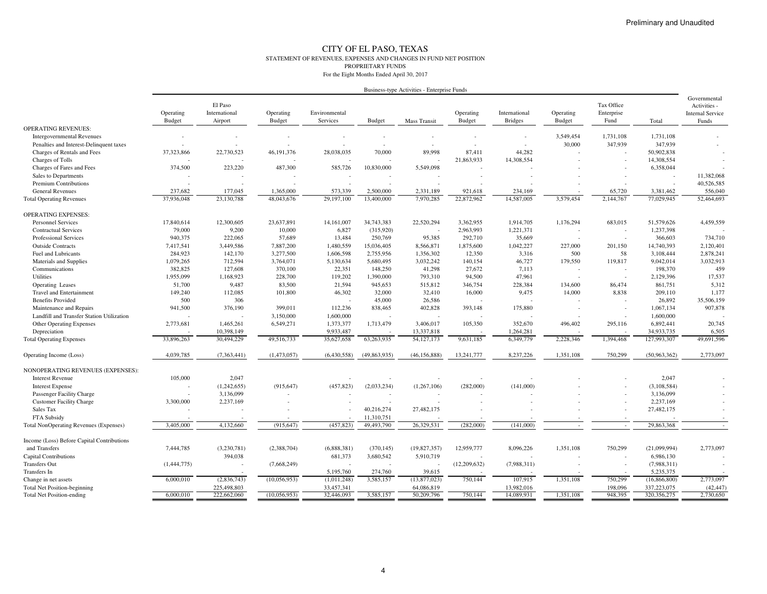#### CITY OF EL PASO, TEXAS STATEMENT OF REVENUES, EXPENSES AND CHANGES IN FUND NET POSITION PROPRIETARY FUNDSFor the Eight Months Ended April 30, 2017

| Business-type Activities - Enterprise Funds |  |  |
|---------------------------------------------|--|--|
|                                             |  |  |

|                                               | Operating<br><b>Budget</b> | El Paso<br>International<br>Airport | Operating<br>Budget | Environmental<br>Services | Budget                   | Mass Transit   | Operating<br><b>Budget</b> | International<br><b>Bridges</b> | Operating<br><b>Budget</b> | Tax Office<br>Enterprise<br>Fund | Total          | Governmental<br>Activities -<br><b>Internal Service</b><br>Funds |
|-----------------------------------------------|----------------------------|-------------------------------------|---------------------|---------------------------|--------------------------|----------------|----------------------------|---------------------------------|----------------------------|----------------------------------|----------------|------------------------------------------------------------------|
| <b>OPERATING REVENUES:</b>                    |                            |                                     |                     |                           |                          |                |                            |                                 |                            |                                  |                |                                                                  |
| <b>Intergovernmental Revenues</b>             |                            |                                     |                     |                           | $\overline{\phantom{a}}$ |                |                            | ٠                               | 3,549,454                  | 1.731.108                        | 1,731,108      |                                                                  |
| Penalties and Interest-Delinquent taxes       |                            |                                     |                     |                           | $\overline{\phantom{a}}$ |                |                            | ٠                               | 30,000                     | 347,939                          | 347,939        |                                                                  |
| Charges of Rentals and Fees                   | 37,323,866                 | 22,730,523                          | 46, 191, 376        | 28,038,035                | 70,000                   | 89,998         | 87.411                     | 44.282                          |                            |                                  | 50,902,838     |                                                                  |
| Charges of Tolls                              |                            |                                     |                     |                           |                          |                | 21,863,933                 | 14,308,554                      |                            |                                  | 14,308,554     |                                                                  |
| Charges of Fares and Fees                     | 374,500                    | 223,220                             | 487,300             | 585,726                   | 10,830,000               | 5,549,098      | $\overline{\phantom{a}}$   |                                 |                            |                                  | 6,358,044      |                                                                  |
| Sales to Departments                          |                            |                                     |                     |                           |                          |                |                            |                                 |                            |                                  |                | 11,382,068                                                       |
| <b>Premium Contributions</b>                  |                            |                                     |                     |                           |                          |                |                            |                                 |                            |                                  |                | 40,526,585                                                       |
| <b>General Revenues</b>                       | 237.682                    | 177,045                             | 1.365,000           | 573.339                   | 2,500,000                | 2.331.189      | 921.618                    | 234,169                         |                            | 65,720                           | 3,381,462      | 556,040                                                          |
| <b>Total Operating Revenues</b>               | 37,936,048                 | 23,130,788                          | 48,043,676          | 29,197,100                | 13,400,000               | 7,970,285      | 22,872,962                 | 14,587,005                      | 3,579,454                  | 2,144,767                        | 77,029,945     | 52,464,693                                                       |
| <b>OPERATING EXPENSES:</b>                    |                            |                                     |                     |                           |                          |                |                            |                                 |                            |                                  |                |                                                                  |
| <b>Personnel Services</b>                     | 17,840,614                 | 12,300,605                          | 23,637,891          | 14,161,007                | 34,743,383               | 22,520,294     | 3,362,955                  | 1,914,705                       | 1,176,294                  | 683,015                          | 51,579,626     | 4,459,559                                                        |
| <b>Contractual Services</b>                   | 79,000                     | 9,200                               | 10,000              | 6,827                     | (315,920)                |                | 2,963,993                  | 1,221,371                       |                            |                                  | 1,237,398      |                                                                  |
| Professional Services                         | 940,375                    | 222,065                             | 57,689              | 13,484                    | 250,769                  | 95,385         | 292,710                    | 35,669                          |                            |                                  | 366,603        | 734,710                                                          |
| <b>Outside Contracts</b>                      | 7,417,541                  | 3,449,586                           | 7,887,200           | 1,480,559                 | 15,036,405               | 8,566,871      | 1,875,600                  | 1,042,227                       | 227,000                    | 201.150                          | 14,740,393     | 2,120,401                                                        |
| Fuel and Lubricants                           | 284,923                    | 142,170                             | 3,277,500           | 1,606,598                 | 2,755,956                | 1,356,302      | 12,350                     | 3,316                           | 500                        | 58                               | 3,108,444      | 2,878,241                                                        |
| Materials and Supplies                        | 1,079,265                  | 712,594                             | 3,764,071           | 5,130,634                 | 5,680,495                | 3,032,242      | 140,154                    | 46,727                          | 179,550                    | 119,817                          | 9,042,014      | 3,032,913                                                        |
| Communications                                | 382,825                    | 127,608                             | 370,100             | 22,351                    | 148,250                  | 41,298         | 27,672                     | 7,113                           |                            |                                  | 198,370        | 459                                                              |
| <b>Utilities</b>                              | 1,955,099                  | 1,168,923                           | 228,700             | 119,202                   | 1,390,000                | 793,310        | 94,500                     | 47,961                          |                            |                                  | 2,129,396      | 17,537                                                           |
| Operating Leases                              | 51,700                     | 9,487                               | 83,500              | 21,594                    | 945,653                  | 515,812        | 346,754                    | 228,384                         | 134,600                    | 86,474                           | 861,751        | 5,312                                                            |
| <b>Travel and Entertainment</b>               | 149,240                    | 112,085                             | 101,800             | 46,302                    | 32,000                   | 32,410         | 16,000                     | 9,475                           | 14,000                     | 8,838                            | 209,110        | 1,177                                                            |
| <b>Benefits Provided</b>                      | 500                        | 306                                 |                     |                           | 45,000                   | 26,586         |                            |                                 |                            |                                  | 26,892         | 35,506,159                                                       |
| Maintenance and Repairs                       | 941,500                    | 376,190                             | 399,011             | 112,236                   | 838,465                  | 402,828        | 393,148                    | 175,880                         |                            | $\overline{\phantom{a}}$         | 1,067,134      | 907,878                                                          |
| Landfill and Transfer Station Utilization     |                            |                                     | 3,150,000           | 1,600,000                 |                          |                |                            |                                 |                            |                                  | 1,600,000      |                                                                  |
| <b>Other Operating Expenses</b>               | 2,773,681                  | 1,465,261                           | 6,549,271           | 1,373,377                 | 1,713,479                | 3,406,017      | 105,350                    | 352,670                         | 496,402                    | 295,116                          | 6,892,441      | 20,745                                                           |
| Depreciation                                  |                            | 10,398,149                          |                     | 9,933,487                 |                          | 13,337,818     |                            | 1,264,281                       |                            |                                  | 34,933,735     | 6,505                                                            |
| <b>Total Operating Expenses</b>               | 33,896,263                 | 30,494,229                          | 49,516,733          | 35,627,658                | 63,263,935               | 54,127,173     | 9,631,185                  | 6,349,779                       | 2,228,346                  | 1,394,468                        | 127,993,307    | 49,691,596                                                       |
| Operating Income (Loss)                       | 4,039,785                  | (7,363,441)                         | (1,473,057)         | (6,430,558)               | (49, 863, 935)           | (46, 156, 888) | 13,241,777                 | 8,237,226                       | 1,351,108                  | 750,299                          | (50,963,362)   | 2,773,097                                                        |
| NONOPERATING REVENUES (EXPENSES):             |                            |                                     |                     |                           |                          |                |                            |                                 |                            |                                  |                |                                                                  |
| <b>Interest Revenue</b>                       | 105,000                    | 2,047                               |                     |                           |                          |                |                            |                                 |                            |                                  | 2,047          |                                                                  |
| <b>Interest Expense</b>                       |                            | (1,242,655)                         | (915, 647)          | (457, 823)                | (2,033,234)              | (1, 267, 106)  | (282,000)                  | (141,000)                       |                            |                                  | (3, 108, 584)  |                                                                  |
| Passenger Facility Charge                     |                            | 3,136,099                           |                     |                           |                          |                |                            |                                 |                            |                                  | 3,136,099      |                                                                  |
| <b>Customer Facility Charge</b>               | 3,300,000                  | 2,237,169                           |                     |                           |                          |                |                            |                                 |                            |                                  | 2,237,169      |                                                                  |
| Sales Tax                                     |                            |                                     |                     |                           | 40,216,274               | 27,482,175     |                            |                                 |                            |                                  | 27,482,175     |                                                                  |
| FTA Subsidy                                   |                            |                                     |                     |                           | 11,310,751               |                |                            |                                 |                            |                                  |                |                                                                  |
| <b>Total NonOperating Revenues (Expenses)</b> | 3,405,000                  | 4,132,660                           | (915, 647)          | (457, 823)                | 49,493,790               | 26,329,531     | (282,000)                  | (141,000)                       |                            |                                  | 29,863,368     |                                                                  |
| Income (Loss) Before Capital Contributions    |                            |                                     |                     |                           |                          |                |                            |                                 |                            |                                  |                |                                                                  |
| and Transfers                                 | 7,444,785                  | (3,230,781)                         | (2,388,704)         | (6,888,381)               | (370, 145)               | (19,827,357)   | 12,959,777                 | 8,096,226                       | 1,351,108                  | 750,299                          | (21,099,994)   | 2,773,097                                                        |
| <b>Capital Contributions</b>                  |                            | 394,038                             |                     | 681,373                   | 3,680,542                | 5,910,719      |                            |                                 |                            |                                  | 6,986,130      |                                                                  |
| <b>Transfers Out</b>                          | (1,444,775)                |                                     | (7,668,249)         |                           |                          |                | (12,209,632)               | (7,988,311)                     |                            |                                  | (7,988,311)    |                                                                  |
| Transfers In                                  |                            |                                     |                     | 5,195,760                 | 274,760                  | 39,615         |                            |                                 |                            |                                  | 5,235,375      |                                                                  |
| Change in net assets                          | 6,000,010                  | (2,836,743)                         | (10,056,953)        | (1,011,248)               | 3,585,157                | (13,877,023)   | 750,144                    | 107,915                         | 1,351,108                  | 750,299                          | (16, 866, 800) | 2,773,097                                                        |
| <b>Total Net Position-beginning</b>           |                            | 225,498,803                         |                     | 33,457,341                |                          | 64,086,819     |                            | 13,982,016                      |                            | 198,096                          | 337,223,075    | (42, 447)                                                        |
| <b>Total Net Position-ending</b>              | 6,000,010                  | 222,662,060                         | (10,056,953)        | 32,446,093                | 3,585,157                | 50,209,796     | 750.144                    | 14.089.931                      | 1,351,108                  | 948.395                          | 320,356,275    | 2,730,650                                                        |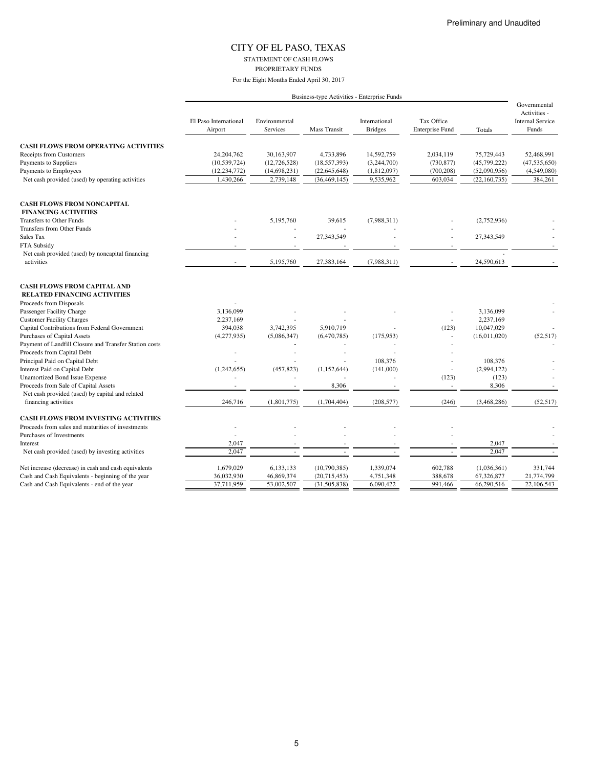STATEMENT OF CASH FLOWS

PROPRIETARY FUNDS

|                                                        | Business-type Activities - Enterprise Funds |                           |                     |                                 |                                      |                |                                                                  |  |
|--------------------------------------------------------|---------------------------------------------|---------------------------|---------------------|---------------------------------|--------------------------------------|----------------|------------------------------------------------------------------|--|
|                                                        | El Paso International<br>Airport            | Environmental<br>Services | <b>Mass Transit</b> | International<br><b>Bridges</b> | Tax Office<br><b>Enterprise Fund</b> | Totals         | Governmental<br>Activities -<br><b>Internal Service</b><br>Funds |  |
| <b>CASH FLOWS FROM OPERATING ACTIVITIES</b>            |                                             |                           |                     |                                 |                                      |                |                                                                  |  |
| <b>Receipts from Customers</b>                         | 24, 204, 762                                | 30,163,907                | 4,733,896           | 14,592,759                      | 2,034,119                            | 75,729,443     | 52,468,991                                                       |  |
| Payments to Suppliers                                  | (10, 539, 724)                              | (12, 726, 528)            | (18, 557, 393)      | (3,244,700)                     | (730, 877)                           | (45,799,222)   | (47, 535, 650)                                                   |  |
| Payments to Employees                                  | (12, 234, 772)                              | (14,698,231)              | (22, 645, 648)      | (1,812,097)                     | (700, 208)                           | (52,090,956)   | (4,549,080)                                                      |  |
| Net cash provided (used) by operating activities       | 1,430,266                                   | 2,739,148                 | (36, 469, 145)      | 9,535,962                       | 603,034                              | (22, 160, 735) | 384,261                                                          |  |
| <b>CASH FLOWS FROM NONCAPITAL</b>                      |                                             |                           |                     |                                 |                                      |                |                                                                  |  |
| <b>FINANCING ACTIVITIES</b>                            |                                             |                           |                     |                                 |                                      |                |                                                                  |  |
| Transfers to Other Funds                               |                                             | 5,195,760                 | 39,615              | (7,988,311)                     |                                      | (2,752,936)    |                                                                  |  |
| Transfers from Other Funds                             |                                             |                           |                     |                                 |                                      |                |                                                                  |  |
| Sales Tax                                              |                                             |                           | 27,343,549          |                                 |                                      | 27,343,549     |                                                                  |  |
| FTA Subsidy                                            |                                             |                           |                     |                                 |                                      |                |                                                                  |  |
| Net cash provided (used) by noncapital financing       |                                             |                           |                     |                                 |                                      |                |                                                                  |  |
| activities                                             | ٠                                           | 5,195,760                 | 27,383,164          | (7,988,311)                     |                                      | 24,590,613     |                                                                  |  |
| <b>CASH FLOWS FROM CAPITAL AND</b>                     |                                             |                           |                     |                                 |                                      |                |                                                                  |  |
| <b>RELATED FINANCING ACTIVITIES</b>                    |                                             |                           |                     |                                 |                                      |                |                                                                  |  |
| Proceeds from Disposals                                |                                             |                           |                     |                                 |                                      |                |                                                                  |  |
| Passenger Facility Charge                              | 3,136,099                                   |                           |                     |                                 |                                      | 3,136,099      |                                                                  |  |
| <b>Customer Facility Charges</b>                       | 2,237,169                                   |                           |                     |                                 |                                      | 2,237,169      |                                                                  |  |
| Capital Contributions from Federal Government          | 394,038                                     | 3,742,395                 | 5,910,719           |                                 | (123)                                | 10,047,029     |                                                                  |  |
| <b>Purchases of Capital Assets</b>                     | (4,277,935)                                 | (5,086,347)               | (6,470,785)         | (175, 953)                      |                                      | (16,011,020)   | (52, 517)                                                        |  |
| Payment of Landfill Closure and Transfer Station costs |                                             |                           |                     |                                 |                                      |                |                                                                  |  |
| Proceeds from Capital Debt                             |                                             |                           | ٠                   |                                 |                                      |                |                                                                  |  |
| Principal Paid on Capital Debt                         |                                             |                           |                     | 108,376                         |                                      | 108,376        |                                                                  |  |
| Interest Paid on Capital Debt                          | (1,242,655)                                 | (457, 823)                | (1,152,644)         | (141,000)                       | $\overline{\phantom{a}}$             | (2,994,122)    |                                                                  |  |
| <b>Unamortized Bond Issue Expense</b>                  |                                             |                           |                     |                                 | (123)                                | (123)          |                                                                  |  |
| Proceeds from Sale of Capital Assets                   |                                             |                           | 8,306               |                                 |                                      | 8,306          |                                                                  |  |
| Net cash provided (used) by capital and related        |                                             |                           |                     |                                 |                                      |                |                                                                  |  |
| financing activities                                   | 246,716                                     | (1,801,775)               | (1,704,404)         | (208, 577)                      | (246)                                | (3,468,286)    | (52, 517)                                                        |  |
| <b>CASH FLOWS FROM INVESTING ACTIVITIES</b>            |                                             |                           |                     |                                 |                                      |                |                                                                  |  |
| Proceeds from sales and maturities of investments      |                                             |                           |                     |                                 |                                      |                |                                                                  |  |
| Purchases of Investments                               |                                             |                           |                     |                                 |                                      |                |                                                                  |  |
| Interest                                               | 2,047                                       |                           |                     |                                 |                                      | 2,047          |                                                                  |  |
| Net cash provided (used) by investing activities       | 2,047                                       |                           |                     |                                 |                                      | 2,047          |                                                                  |  |
| Net increase (decrease) in cash and cash equivalents   | 1,679,029                                   | 6,133,133                 | (10,790,385)        | 1,339,074                       | 602,788                              | (1,036,361)    | 331,744                                                          |  |
| Cash and Cash Equivalents - beginning of the year      | 36,032,930                                  | 46,869,374                | (20,715,453)        | 4,751,348                       | 388,678                              | 67,326,877     | 21,774,799                                                       |  |
| Cash and Cash Equivalents - end of the year            | 37,711,959                                  | 53,002,507                | (31, 505, 838)      | 6,090,422                       | 991,466                              | 66,290,516     | 22,106,543                                                       |  |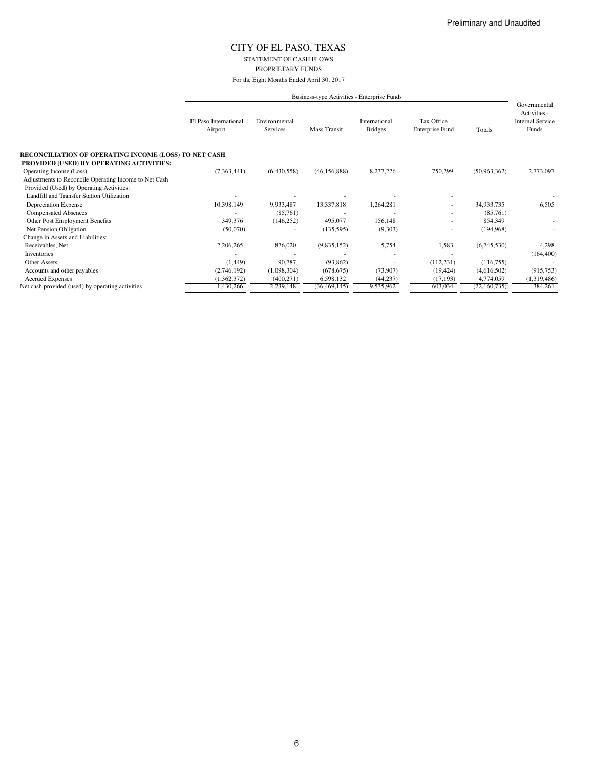STATEMENT OF CASH FLOWS PROPRIETARY FUNDS

For the Eight Months Ended April 30, 2017

|                                                                     | El Paso International<br>Airport | Environmental<br>Services | Mass Transit   | International<br><b>Bridges</b> | Tax Office<br><b>Enterprise Fund</b> | Totals         | Governmental<br>Activities -<br><b>Internal Service</b><br>Funds |
|---------------------------------------------------------------------|----------------------------------|---------------------------|----------------|---------------------------------|--------------------------------------|----------------|------------------------------------------------------------------|
| <b>RECONCILIATION OF OPERATING INCOME (LOSS) TO NET CASH</b>        |                                  |                           |                |                                 |                                      |                |                                                                  |
| PROVIDED (USED) BY OPERATING ACTIVITIES:<br>Operating Income (Loss) | (7,363,441)                      | (6,430,558)               | (46, 156, 888) | 8,237,226                       | 750,299                              | (50,963,362)   | 2,773,097                                                        |
| Adjustments to Reconcile Operating Income to Net Cash               |                                  |                           |                |                                 |                                      |                |                                                                  |
| Provided (Used) by Operating Activities:                            |                                  |                           |                |                                 |                                      |                |                                                                  |
| Landfill and Transfer Station Utilization                           |                                  |                           |                |                                 |                                      |                |                                                                  |
| Depreciation Expense                                                | 10,398,149                       | 9,933,487                 | 13,337,818     | 1,264,281                       |                                      | 34,933,735     | 6,505                                                            |
| <b>Compensated Absences</b>                                         |                                  | (85,761)                  |                |                                 | ٠                                    | (85,761)       |                                                                  |
| Other Post Employment Benefits                                      | 349,376                          | (146, 252)                | 495,077        | 156,148                         | ٠                                    | 854,349        |                                                                  |
| Net Pension Obligation                                              | (50,070)                         |                           | (135, 595)     | (9,303)                         | ٠                                    | (194, 968)     |                                                                  |
| Change in Assets and Liabilities:                                   |                                  |                           |                |                                 |                                      |                |                                                                  |
| Receivables, Net                                                    | 2,206,265                        | 876,020                   | (9,835,152)    | 5,754                           | 1,583                                | (6,745,530)    | 4,298                                                            |
| Inventories                                                         |                                  |                           |                |                                 |                                      |                | (164, 400)                                                       |
| Other Assets                                                        | (1,449)                          | 90,787                    | (93, 862)      |                                 | (112, 231)                           | (116,755)      |                                                                  |
| Accounts and other payables                                         | (2,746,192)                      | (1,098,304)               | (678, 675)     | (73,907)                        | (19, 424)                            | (4,616,502)    | (915, 753)                                                       |
| <b>Accrued Expenses</b>                                             | (1,362,372)                      | (400, 271)                | 6,598,132      | (44, 237)                       | (17, 193)                            | 4,774,059      | (1,319,486)                                                      |
| Net cash provided (used) by operating activities                    | 1,430,266                        | 2,739,148                 | (36, 469, 145) | 9,535,962                       | 603,034                              | (22, 160, 735) | 384,261                                                          |
|                                                                     |                                  |                           |                |                                 |                                      |                |                                                                  |

6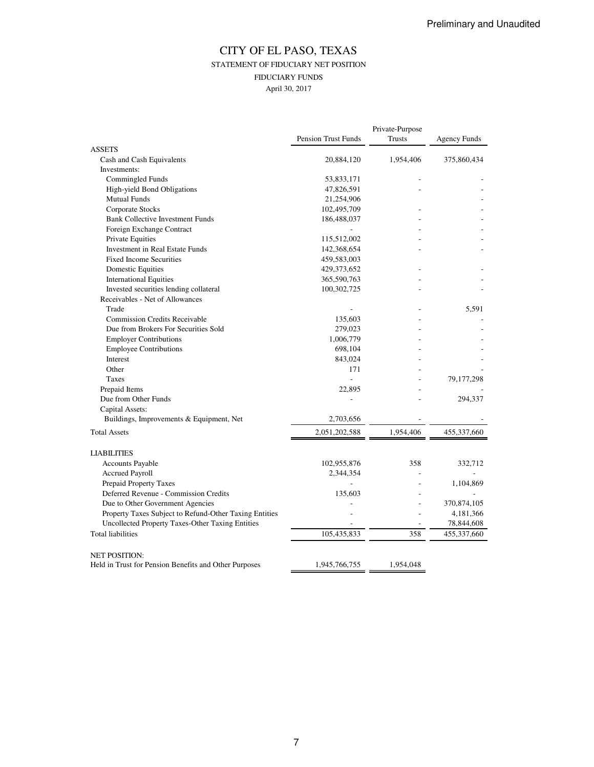## CITY OF EL PASO, TEXAS STATEMENT OF FIDUCIARY NET POSITION FIDUCIARY FUNDS April 30, 2017

|                                                        |                            | Private-Purpose |                     |
|--------------------------------------------------------|----------------------------|-----------------|---------------------|
|                                                        | <b>Pension Trust Funds</b> | Trusts          | <b>Agency Funds</b> |
| <b>ASSETS</b>                                          |                            |                 |                     |
| Cash and Cash Equivalents                              | 20,884,120                 | 1,954,406       | 375,860,434         |
| Investments:                                           |                            |                 |                     |
| Commingled Funds                                       | 53,833,171                 |                 |                     |
| High-yield Bond Obligations                            | 47,826,591                 |                 |                     |
| <b>Mutual Funds</b>                                    | 21,254,906                 |                 |                     |
| Corporate Stocks                                       | 102,495,709                |                 |                     |
| <b>Bank Collective Investment Funds</b>                | 186,488,037                |                 |                     |
| Foreign Exchange Contract                              |                            |                 |                     |
| Private Equities                                       | 115,512,002                |                 |                     |
| Investment in Real Estate Funds                        | 142,368,654                |                 |                     |
| <b>Fixed Income Securities</b>                         | 459,583,003                |                 |                     |
| <b>Domestic Equities</b>                               | 429, 373, 652              |                 |                     |
| <b>International Equities</b>                          | 365,590,763                |                 |                     |
| Invested securities lending collateral                 | 100,302,725                |                 |                     |
| Receivables - Net of Allowances                        |                            |                 |                     |
| Trade                                                  |                            |                 | 5,591               |
| <b>Commission Credits Receivable</b>                   | 135,603                    |                 |                     |
| Due from Brokers For Securities Sold                   | 279,023                    |                 |                     |
| <b>Employer Contributions</b>                          | 1,006,779                  |                 |                     |
| <b>Employee Contributions</b>                          | 698,104                    |                 |                     |
| Interest                                               | 843,024                    |                 |                     |
| Other                                                  | 171                        |                 |                     |
| Taxes                                                  | $\overline{a}$             |                 | 79,177,298          |
| Prepaid Items                                          | 22,895                     |                 |                     |
| Due from Other Funds                                   |                            |                 | 294,337             |
| Capital Assets:                                        |                            |                 |                     |
| Buildings, Improvements & Equipment, Net               | 2,703,656                  |                 |                     |
| <b>Total Assets</b>                                    | 2,051,202,588              | 1,954,406       | 455,337,660         |
| <b>LIABILITIES</b>                                     |                            |                 |                     |
| Accounts Payable                                       | 102,955,876                | 358             | 332,712             |
| <b>Accrued Payroll</b>                                 | 2,344,354                  |                 |                     |
| Prepaid Property Taxes                                 |                            |                 | 1,104,869           |
| Deferred Revenue - Commission Credits                  | 135,603                    |                 |                     |
| Due to Other Government Agencies                       |                            |                 | 370,874,105         |
| Property Taxes Subject to Refund-Other Taxing Entities |                            |                 | 4,181,366           |
| Uncollected Property Taxes-Other Taxing Entities       |                            |                 | 78,844,608          |
| <b>Total liabilities</b>                               | 105,435,833                | 358             | 455,337,660         |
| <b>NET POSITION:</b>                                   |                            |                 |                     |
| Held in Trust for Pension Benefits and Other Purposes  | 1,945,766,755              | 1,954,048       |                     |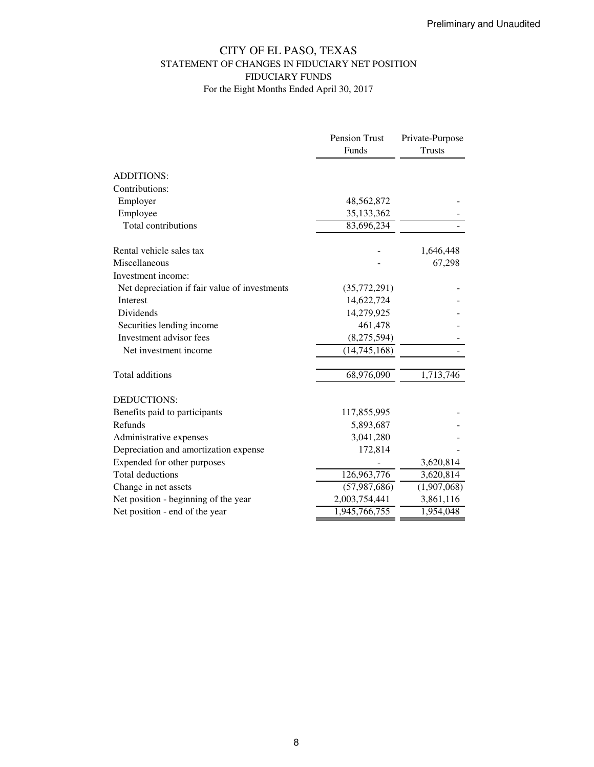## CITY OF EL PASO, TEXAS STATEMENT OF CHANGES IN FIDUCIARY NET POSITION FIDUCIARY FUNDS For the Eight Months Ended April 30, 2017

|                                               | Pension Trust  | Private-Purpose |
|-----------------------------------------------|----------------|-----------------|
|                                               | Funds          | <b>Trusts</b>   |
| <b>ADDITIONS:</b>                             |                |                 |
| Contributions:                                |                |                 |
| Employer                                      | 48,562,872     |                 |
| Employee                                      | 35, 133, 362   |                 |
| Total contributions                           | 83,696,234     |                 |
|                                               |                |                 |
| Rental vehicle sales tax                      |                | 1,646,448       |
| Miscellaneous                                 |                | 67,298          |
| Investment income:                            |                |                 |
| Net depreciation if fair value of investments | (35,772,291)   |                 |
| Interest                                      | 14,622,724     |                 |
| Dividends                                     | 14,279,925     |                 |
| Securities lending income                     | 461,478        |                 |
| Investment advisor fees                       | (8,275,594)    |                 |
| Net investment income                         | (14,745,168)   |                 |
| Total additions                               | 68,976,090     | 1,713,746       |
| DEDUCTIONS:                                   |                |                 |
| Benefits paid to participants                 | 117,855,995    |                 |
| Refunds                                       | 5,893,687      |                 |
| Administrative expenses                       | 3,041,280      |                 |
| Depreciation and amortization expense         | 172,814        |                 |
| Expended for other purposes                   |                | 3,620,814       |
| <b>Total deductions</b>                       | 126,963,776    | 3,620,814       |
| Change in net assets                          | (57, 987, 686) | (1,907,068)     |
| Net position - beginning of the year          | 2,003,754,441  | 3,861,116       |
| Net position - end of the year                | 1,945,766,755  | 1,954,048       |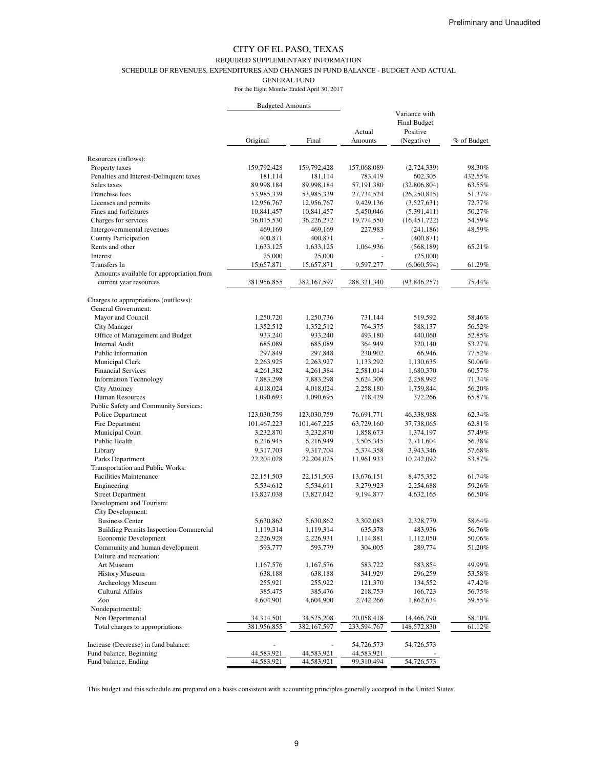#### REQUIRED SUPPLEMENTARY INFORMATION

SCHEDULE OF REVENUES, EXPENDITURES AND CHANGES IN FUND BALANCE - BUDGET AND ACTUAL

GENERAL FUND

For the Eight Months Ended April 30, 2017

|                                                                    | <b>Budgeted Amounts</b> |               |                   |                                                                |             |
|--------------------------------------------------------------------|-------------------------|---------------|-------------------|----------------------------------------------------------------|-------------|
|                                                                    | Original                | Final         | Actual<br>Amounts | Variance with<br><b>Final Budget</b><br>Positive<br>(Negative) | % of Budget |
|                                                                    |                         |               |                   |                                                                |             |
| Resources (inflows):                                               |                         |               |                   |                                                                |             |
| Property taxes                                                     | 159,792,428             | 159,792,428   | 157,068,089       | (2,724,339)                                                    | 98.30%      |
| Penalties and Interest-Delinquent taxes                            | 181,114                 | 181,114       | 783,419           | 602,305                                                        | 432.55%     |
| Sales taxes                                                        | 89,998,184              | 89,998,184    | 57,191,380        | (32,806,804)                                                   | 63.55%      |
| Franchise fees                                                     | 53,985,339              | 53,985,339    | 27,734,524        | (26, 250, 815)                                                 | 51.37%      |
| Licenses and permits                                               | 12,956,767              | 12,956,767    | 9,429,136         | (3,527,631)                                                    | 72.77%      |
| Fines and forfeitures                                              | 10,841,457              | 10,841,457    | 5,450,046         | (5,391,411)                                                    | 50.27%      |
| Charges for services                                               | 36,015,530              | 36,226,272    | 19,774,550        | (16, 451, 722)                                                 | 54.59%      |
| Intergovernmental revenues                                         | 469,169                 | 469,169       | 227,983           | (241, 186)                                                     | 48.59%      |
| County Participation                                               | 400,871                 | 400,871       |                   | (400, 871)                                                     |             |
| Rents and other                                                    | 1,633,125               | 1,633,125     | 1,064,936         | (568, 189)                                                     | 65.21%      |
| Interest                                                           | 25,000                  | 25,000        |                   | (25,000)                                                       |             |
| Transfers In                                                       | 15,657,871              | 15,657,871    | 9,597,277         | (6,060,594)                                                    | 61.29%      |
| Amounts available for appropriation from<br>current year resources | 381,956,855             | 382, 167, 597 | 288,321,340       | (93, 846, 257)                                                 | 75.44%      |
| Charges to appropriations (outflows):<br>General Government:       |                         |               |                   |                                                                |             |
| Mayor and Council                                                  | 1,250,720               | 1,250,736     | 731,144           | 519,592                                                        | 58.46%      |
| <b>City Manager</b>                                                | 1,352,512               | 1,352,512     | 764,375           | 588,137                                                        | 56.52%      |
| Office of Management and Budget                                    | 933,240                 | 933,240       | 493,180           | 440,060                                                        | 52.85%      |
| <b>Internal Audit</b>                                              | 685,089                 | 685,089       | 364,949           | 320,140                                                        | 53.27%      |
| Public Information                                                 | 297,849                 | 297,848       | 230,902           | 66,946                                                         | 77.52%      |
| Municipal Clerk                                                    | 2,263,925               | 2,263,927     | 1,133,292         | 1,130,635                                                      | 50.06%      |
| <b>Financial Services</b>                                          | 4,261,382               | 4,261,384     | 2,581,014         | 1,680,370                                                      | 60.57%      |
| <b>Information Technology</b>                                      | 7,883,298               | 7,883,298     | 5,624,306         | 2,258,992                                                      | 71.34%      |
| <b>City Attorney</b>                                               | 4,018,024               | 4,018,024     | 2,258,180         | 1,759,844                                                      | 56.20%      |
| Human Resources                                                    | 1,090,693               | 1,090,695     | 718,429           | 372,266                                                        | 65.87%      |
| Public Safety and Community Services:                              |                         |               |                   |                                                                |             |
| Police Department                                                  | 123,030,759             | 123,030,759   | 76,691,771        | 46,338,988                                                     | 62.34%      |
| Fire Department                                                    | 101,467,223             | 101,467,225   | 63,729,160        | 37,738,065                                                     | 62.81%      |
| Municipal Court                                                    | 3,232,870               | 3,232,870     | 1,858,673         | 1,374,197                                                      | 57.49%      |
| Public Health                                                      | 6,216,945               | 6,216,949     | 3,505,345         | 2,711,604                                                      | 56.38%      |
| Library                                                            | 9,317,703               | 9,317,704     | 5,374,358         | 3,943,346                                                      | 57.68%      |
| Parks Department                                                   | 22,204,028              | 22,204,025    | 11,961,933        | 10,242,092                                                     | 53.87%      |
| <b>Transportation and Public Works:</b>                            |                         |               |                   |                                                                |             |
| <b>Facilities Maintenance</b>                                      | 22, 151, 503            | 22, 151, 503  | 13,676,151        | 8,475,352                                                      | 61.74%      |
| Engineering                                                        | 5,534,612               | 5,534,611     | 3,279,923         | 2,254,688                                                      | 59.26%      |
| <b>Street Department</b>                                           | 13,827,038              | 13,827,042    | 9,194,877         | 4,632,165                                                      | 66.50%      |
| Development and Tourism:<br>City Development:                      |                         |               |                   |                                                                |             |
| <b>Business Center</b>                                             | 5,630,862               | 5,630,862     | 3,302,083         | 2,328,779                                                      | 58.64%      |
| Building Permits Inspection-Commercial                             | 1,119,314               | 1,119,314     | 635,378           | 483,936                                                        | 56.76%      |
| Economic Development                                               | 2,226,928               | 2,226,931     | 1,114,881         | 1,112,050                                                      | 50.06%      |
| Community and human development                                    | 593,777                 | 593,779       | 304,005           | 289,774                                                        | 51.20%      |
| Culture and recreation:<br>Art Museum                              |                         |               |                   |                                                                |             |
|                                                                    | 1,167,576               | 1,167,576     | 583,722           | 583,854                                                        | 49.99%      |
| <b>History Museum</b>                                              | 638,188                 | 638,188       | 341,929           | 296,259                                                        | 53.58%      |
| Archeology Museum<br><b>Cultural Affairs</b>                       | 255,921                 | 255,922       | 121,370           | 134,552                                                        | 47.42%      |
|                                                                    | 385,475                 | 385,476       | 218,753           | 166,723                                                        | 56.75%      |
| Zoo                                                                | 4,604,901               | 4,604,900     | 2,742,266         | 1,862,634                                                      | 59.55%      |
| Nondepartmental:                                                   |                         |               |                   |                                                                |             |
| Non Departmental                                                   | 34,314,501              | 34,525,208    | 20,058,418        | 14,466,790                                                     | 58.10%      |
| Total charges to appropriations                                    | 381,956,855             | 382, 167, 597 | 233,594,767       | 148,572,830                                                    | 61.12%      |
| Increase (Decrease) in fund balance:                               |                         |               | 54,726,573        | 54,726,573                                                     |             |
| Fund balance, Beginning                                            | 44,583,921              | 44,583,921    | 44,583,921        |                                                                |             |
| Fund balance, Ending                                               | 44,583,921              | 44,583,921    | 99,310,494        | 54,726,573                                                     |             |

This budget and this schedule are prepared on a basis consistent with accounting principles generally accepted in the United States.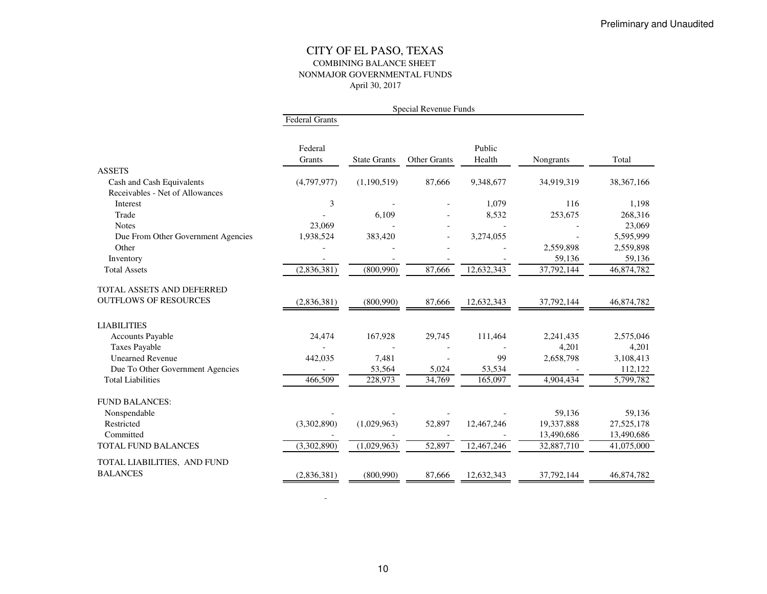#### CITY OF EL PASO, TEXAS COMBINING BALANCE SHEET NONMAJOR GOVERNMENTAL FUNDSApril 30, 2017

|                                    | <b>Federal Grants</b> |                     |              |                  |            |              |
|------------------------------------|-----------------------|---------------------|--------------|------------------|------------|--------------|
|                                    | Federal<br>Grants     | <b>State Grants</b> | Other Grants | Public<br>Health | Nongrants  | Total        |
| <b>ASSETS</b>                      |                       |                     |              |                  |            |              |
| Cash and Cash Equivalents          | (4,797,977)           | (1,190,519)         | 87,666       | 9,348,677        | 34,919,319 | 38, 367, 166 |
| Receivables - Net of Allowances    |                       |                     |              |                  |            |              |
| <b>Interest</b>                    | 3                     |                     |              | 1,079            | 116        | 1,198        |
| Trade                              |                       | 6.109               |              | 8,532            | 253,675    | 268,316      |
| <b>Notes</b>                       | 23,069                |                     |              |                  |            | 23,069       |
| Due From Other Government Agencies | 1,938,524             | 383,420             |              | 3,274,055        |            | 5,595,999    |
| Other                              |                       |                     |              |                  | 2,559,898  | 2,559,898    |
| Inventory                          |                       |                     |              |                  | 59,136     | 59,136       |
| <b>Total Assets</b>                | (2,836,381)           | (800,990)           | 87,666       | 12,632,343       | 37,792,144 | 46,874,782   |
| TOTAL ASSETS AND DEFERRED          |                       |                     |              |                  |            |              |
| <b>OUTFLOWS OF RESOURCES</b>       | (2,836,381)           | (800,990)           | 87,666       | 12,632,343       | 37,792,144 | 46,874,782   |
| <b>LIABILITIES</b>                 |                       |                     |              |                  |            |              |
| <b>Accounts Payable</b>            | 24,474                | 167,928             | 29,745       | 111,464          | 2.241.435  | 2,575,046    |
| <b>Taxes Payable</b>               |                       |                     |              |                  | 4,201      | 4,201        |
| <b>Unearned Revenue</b>            | 442,035               | 7,481               |              | 99               | 2,658,798  | 3,108,413    |
| Due To Other Government Agencies   |                       | 53,564              | 5,024        | 53,534           |            | 112,122      |
| <b>Total Liabilities</b>           | 466,509               | 228,973             | 34,769       | 165,097          | 4,904,434  | 5,799,782    |
| <b>FUND BALANCES:</b>              |                       |                     |              |                  |            |              |
| Nonspendable                       |                       |                     |              |                  | 59,136     | 59,136       |
| Restricted                         | (3,302,890)           | (1,029,963)         | 52,897       | 12,467,246       | 19,337,888 | 27,525,178   |
| Committed                          |                       |                     |              |                  | 13,490,686 | 13,490,686   |
| TOTAL FUND BALANCES                | (3,302,890)           | (1,029,963)         | 52,897       | 12,467,246       | 32,887,710 | 41,075,000   |
| TOTAL LIABILITIES, AND FUND        |                       |                     |              |                  |            |              |
| <b>BALANCES</b>                    | (2,836,381)           | (800,990)           | 87,666       | 12,632,343       | 37,792,144 | 46,874,782   |
|                                    |                       |                     |              |                  |            |              |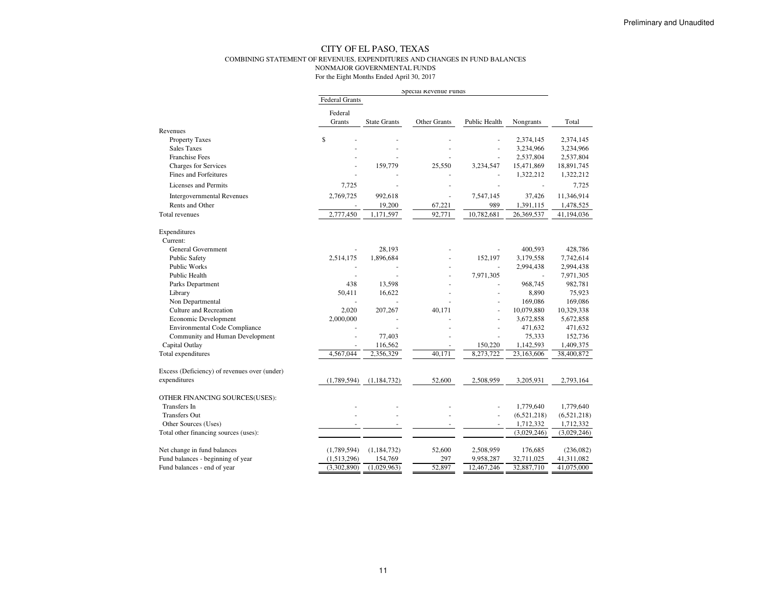#### CITY OF EL PASO, TEXAS COMBINING STATEMENT OF REVENUES, EXPENDITURES AND CHANGES IN FUND BALANCESNONMAJOR GOVERNMENTAL FUNDS

|                                              | Special Revenue Funds |                     |                      |               |                |             |  |
|----------------------------------------------|-----------------------|---------------------|----------------------|---------------|----------------|-------------|--|
|                                              | <b>Federal Grants</b> |                     |                      |               |                |             |  |
|                                              | Federal               |                     |                      |               |                |             |  |
|                                              | Grants                | <b>State Grants</b> | Other Grants         | Public Health | Nongrants      | Total       |  |
| Revenues                                     |                       |                     |                      |               |                |             |  |
| <b>Property Taxes</b>                        | \$                    |                     |                      |               | 2,374,145      | 2,374,145   |  |
| <b>Sales Taxes</b>                           |                       |                     |                      |               | 3,234,966      | 3,234,966   |  |
| <b>Franchise Fees</b>                        |                       |                     |                      |               | 2,537,804      | 2,537,804   |  |
| Charges for Services                         |                       | 159,779             | 25,550               | 3,234,547     | 15,471,869     | 18,891,745  |  |
| <b>Fines and Forfeitures</b>                 |                       |                     |                      |               | 1,322,212      | 1,322,212   |  |
| <b>Licenses and Permits</b>                  | 7,725                 |                     | ٠                    |               | $\blacksquare$ | 7,725       |  |
| <b>Intergovernmental Revenues</b>            | 2,769,725             | 992,618             | $\sim$               | 7,547,145     | 37,426         | 11,346,914  |  |
| Rents and Other                              |                       | 19,200              | 67,221               | 989           | 1,391,115      | 1,478,525   |  |
| Total revenues                               | 2,777,450             | 1,171,597           | 92,771               | 10,782,681    | 26,369,537     | 41,194,036  |  |
| Expenditures                                 |                       |                     |                      |               |                |             |  |
| Current:                                     |                       |                     |                      |               |                |             |  |
| <b>General Government</b>                    |                       | 28,193              |                      |               | 400,593        | 428,786     |  |
| <b>Public Safety</b>                         | 2,514,175             | 1,896,684           |                      | 152,197       | 3,179,558      | 7,742,614   |  |
| <b>Public Works</b>                          |                       |                     |                      |               | 2,994,438      | 2,994,438   |  |
| <b>Public Health</b>                         |                       | L.                  |                      | 7,971,305     |                | 7,971,305   |  |
| Parks Department                             | 438                   | 13,598              | $\ddot{\phantom{1}}$ |               | 968,745        | 982,781     |  |
| Library                                      | 50,411                | 16,622              |                      |               | 8,890          | 75,923      |  |
| Non Departmental                             |                       |                     |                      |               | 169,086        | 169,086     |  |
| <b>Culture and Recreation</b>                | 2.020                 | 207,267             | 40,171               | ÷,            | 10,079,880     | 10,329,338  |  |
| Economic Development                         | 2,000,000             |                     |                      | ÷,            | 3,672,858      | 5,672,858   |  |
| <b>Environmental Code Compliance</b>         |                       |                     |                      |               | 471,632        | 471,632     |  |
| Community and Human Development              |                       | 77,403              |                      | L.            | 75,333         | 152,736     |  |
| Capital Outlay                               |                       | 116,562             |                      | 150,220       | 1,142,593      | 1,409,375   |  |
| Total expenditures                           | 4,567,044             | 2,356,329           | 40,171               | 8,273,722     | 23,163,606     | 38,400,872  |  |
| Excess (Deficiency) of revenues over (under) |                       |                     |                      |               |                |             |  |
| expenditures                                 | (1,789,594)           | (1,184,732)         | 52,600               | 2,508,959     | 3,205,931      | 2,793,164   |  |
| OTHER FINANCING SOURCES(USES):               |                       |                     |                      |               |                |             |  |
| <b>Transfers</b> In                          |                       |                     |                      |               | 1,779,640      | 1,779,640   |  |
| <b>Transfers Out</b>                         |                       |                     |                      | L.            | (6,521,218)    | (6,521,218) |  |
| Other Sources (Uses)                         |                       | $\sim$              | $\sim$               | $\equiv$      | 1,712,332      | 1,712,332   |  |
| Total other financing sources (uses):        |                       |                     |                      |               | (3,029,246)    | (3,029,246) |  |
| Net change in fund balances                  | (1,789,594)           | (1, 184, 732)       | 52,600               | 2,508,959     | 176,685        | (236, 082)  |  |
| Fund balances - beginning of year            | (1,513,296)           | 154,769             | 297                  | 9,958,287     | 32,711,025     | 41,311,082  |  |
| Fund balances - end of year                  | (3,302,890)           | (1,029,963)         | 52,897               | 12,467,246    | 32,887,710     | 41,075,000  |  |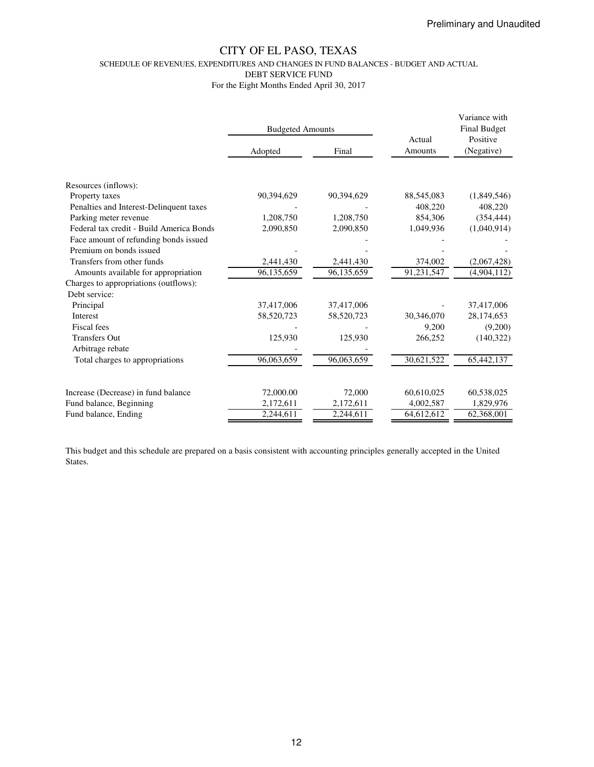SCHEDULE OF REVENUES, EXPENDITURES AND CHANGES IN FUND BALANCES - BUDGET AND ACTUAL

DEBT SERVICE FUND

For the Eight Months Ended April 30, 2017

|                                          | <b>Budgeted Amounts</b> |            |                   | Variance with<br><b>Final Budget</b> |
|------------------------------------------|-------------------------|------------|-------------------|--------------------------------------|
|                                          | Adopted                 | Final      | Actual<br>Amounts | Positive<br>(Negative)               |
| Resources (inflows):<br>Property taxes   | 90,394,629              | 90,394,629 | 88,545,083        | (1,849,546)                          |
| Penalties and Interest-Delinquent taxes  |                         |            | 408,220           | 408,220                              |
| Parking meter revenue                    | 1,208,750               | 1,208,750  | 854,306           | (354, 444)                           |
| Federal tax credit - Build America Bonds | 2,090,850               | 2,090,850  | 1,049,936         | (1,040,914)                          |
| Face amount of refunding bonds issued    |                         |            |                   |                                      |
| Premium on bonds issued                  |                         |            |                   |                                      |
| Transfers from other funds               | 2,441,430               | 2,441,430  | 374,002           | (2,067,428)                          |
| Amounts available for appropriation      | 96,135,659              | 96,135,659 | 91,231,547        | (4,904,112)                          |
| Charges to appropriations (outflows):    |                         |            |                   |                                      |
| Debt service:                            |                         |            |                   |                                      |
| Principal                                | 37,417,006              | 37,417,006 |                   | 37,417,006                           |
| Interest                                 | 58,520,723              | 58,520,723 | 30,346,070        | 28,174,653                           |
| Fiscal fees                              |                         |            | 9,200             | (9,200)                              |
| <b>Transfers Out</b>                     | 125,930                 | 125,930    | 266,252           | (140,322)                            |
| Arbitrage rebate                         |                         |            |                   |                                      |
| Total charges to appropriations          | 96,063,659              | 96,063,659 | 30,621,522        | 65,442,137                           |
| Increase (Decrease) in fund balance      | 72,000.00               | 72,000     | 60,610,025        | 60,538,025                           |
| Fund balance, Beginning                  | 2,172,611               | 2,172,611  | 4,002,587         | 1,829,976                            |
| Fund balance, Ending                     | 2,244,611               | 2,244,611  | 64,612,612        | 62,368,001                           |

This budget and this schedule are prepared on a basis consistent with accounting principles generally accepted in the United States.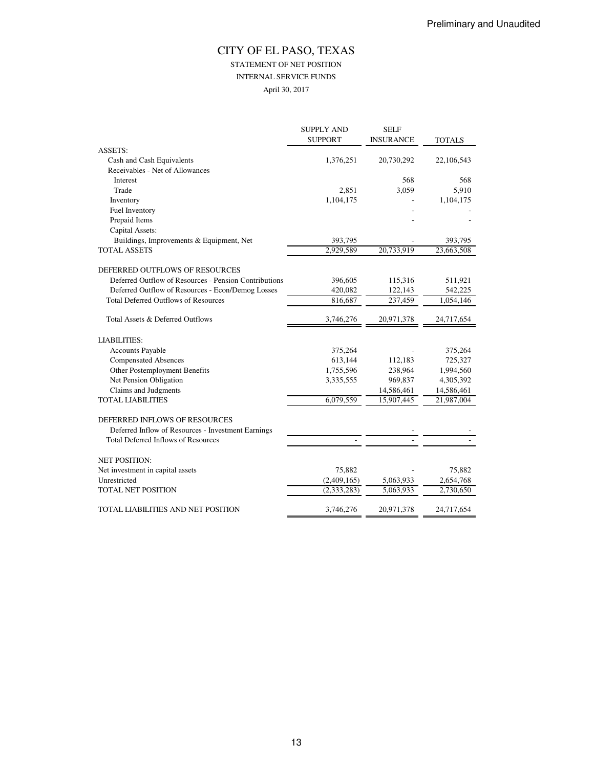## STATEMENT OF NET POSITION

INTERNAL SERVICE FUNDS

April 30, 2017

| <b>SUPPORT</b><br><b>INSURANCE</b><br><b>TOTALS</b><br><b>ASSETS:</b><br>Cash and Cash Equivalents<br>1,376,251<br>20,730,292<br>Receivables - Net of Allowances<br>568<br>Interest<br>Trade<br>2,851<br>3,059<br>1,104,175<br>Inventory<br>Fuel Inventory | 22,106,543<br>568<br>5,910 |
|------------------------------------------------------------------------------------------------------------------------------------------------------------------------------------------------------------------------------------------------------------|----------------------------|
|                                                                                                                                                                                                                                                            |                            |
|                                                                                                                                                                                                                                                            |                            |
|                                                                                                                                                                                                                                                            |                            |
|                                                                                                                                                                                                                                                            |                            |
|                                                                                                                                                                                                                                                            |                            |
|                                                                                                                                                                                                                                                            |                            |
|                                                                                                                                                                                                                                                            | 1,104,175                  |
|                                                                                                                                                                                                                                                            |                            |
| Prepaid Items                                                                                                                                                                                                                                              |                            |
| Capital Assets:                                                                                                                                                                                                                                            |                            |
| Buildings, Improvements & Equipment, Net<br>393,795                                                                                                                                                                                                        | 393,795                    |
| 20,733,919<br><b>TOTAL ASSETS</b><br>2,929,589                                                                                                                                                                                                             | 23,663,508                 |
| DEFERRED OUTFLOWS OF RESOURCES                                                                                                                                                                                                                             |                            |
| Deferred Outflow of Resources - Pension Contributions<br>396,605<br>115,316                                                                                                                                                                                | 511,921                    |
| Deferred Outflow of Resources - Econ/Demog Losses<br>420,082<br>122,143                                                                                                                                                                                    | 542,225                    |
| <b>Total Deferred Outflows of Resources</b><br>237,459<br>816,687                                                                                                                                                                                          | 1,054,146                  |
| Total Assets & Deferred Outflows<br>3,746,276<br>20,971,378                                                                                                                                                                                                | 24,717,654                 |
| <b>LIABILITIES:</b>                                                                                                                                                                                                                                        |                            |
| <b>Accounts Payable</b><br>375,264                                                                                                                                                                                                                         | 375,264                    |
| <b>Compensated Absences</b><br>613,144<br>112,183                                                                                                                                                                                                          | 725,327                    |
| Other Postemployment Benefits<br>1,755,596<br>238.964                                                                                                                                                                                                      | 1,994,560                  |
| Net Pension Obligation<br>3,335,555<br>969,837                                                                                                                                                                                                             | 4,305,392                  |
| Claims and Judgments<br>14,586,461                                                                                                                                                                                                                         | 14,586,461                 |
| <b>TOTAL LIABILITIES</b><br>6,079,559<br>15,907,445                                                                                                                                                                                                        | 21,987,004                 |
| DEFERRED INFLOWS OF RESOURCES                                                                                                                                                                                                                              |                            |
| Deferred Inflow of Resources - Investment Earnings                                                                                                                                                                                                         |                            |
| <b>Total Deferred Inflows of Resources</b>                                                                                                                                                                                                                 |                            |
|                                                                                                                                                                                                                                                            |                            |
| <b>NET POSITION:</b>                                                                                                                                                                                                                                       |                            |
| Net investment in capital assets<br>75,882                                                                                                                                                                                                                 | 75,882                     |
| Unrestricted<br>(2,409,165)<br>5,063,933                                                                                                                                                                                                                   | 2,654,768                  |
| <b>TOTAL NET POSITION</b><br>(2, 333, 283)<br>5,063,933                                                                                                                                                                                                    | 2,730,650                  |
| TOTAL LIABILITIES AND NET POSITION<br>3,746,276<br>20,971,378                                                                                                                                                                                              | 24,717,654                 |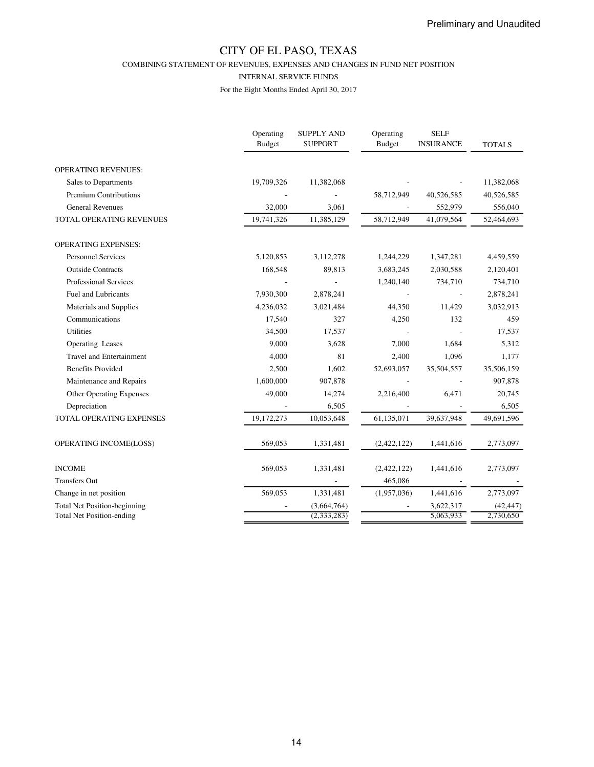COMBINING STATEMENT OF REVENUES, EXPENSES AND CHANGES IN FUND NET POSITION

#### INTERNAL SERVICE FUNDS

|                                     | Operating<br><b>Budget</b> | <b>SUPPLY AND</b><br><b>SUPPORT</b> | Operating<br><b>Budget</b> | <b>SELF</b><br><b>INSURANCE</b> | <b>TOTALS</b> |
|-------------------------------------|----------------------------|-------------------------------------|----------------------------|---------------------------------|---------------|
| <b>OPERATING REVENUES:</b>          |                            |                                     |                            |                                 |               |
| Sales to Departments                | 19,709,326                 | 11,382,068                          |                            |                                 | 11,382,068    |
| Premium Contributions               |                            |                                     | 58,712,949                 | 40,526,585                      | 40,526,585    |
| <b>General Revenues</b>             | 32,000                     | 3,061                               |                            | 552,979                         | 556,040       |
| TOTAL OPERATING REVENUES            | 19,741,326                 | 11,385,129                          | 58,712,949                 | 41,079,564                      | 52,464,693    |
| <b>OPERATING EXPENSES:</b>          |                            |                                     |                            |                                 |               |
| <b>Personnel Services</b>           | 5,120,853                  | 3,112,278                           | 1,244,229                  | 1,347,281                       | 4,459,559     |
| <b>Outside Contracts</b>            | 168,548                    | 89,813                              | 3,683,245                  | 2,030,588                       | 2,120,401     |
| <b>Professional Services</b>        |                            |                                     | 1,240,140                  | 734,710                         | 734,710       |
| Fuel and Lubricants                 | 7,930,300                  | 2,878,241                           |                            |                                 | 2,878,241     |
| Materials and Supplies              | 4,236,032                  | 3,021,484                           | 44,350                     | 11,429                          | 3,032,913     |
| Communications                      | 17,540                     | 327                                 | 4,250                      | 132                             | 459           |
| <b>Utilities</b>                    | 34,500                     | 17,537                              |                            |                                 | 17,537        |
| Operating Leases                    | 9,000                      | 3,628                               | 7,000                      | 1,684                           | 5,312         |
| <b>Travel and Entertainment</b>     | 4,000                      | 81                                  | 2,400                      | 1,096                           | 1,177         |
| <b>Benefits Provided</b>            | 2,500                      | 1,602                               | 52,693,057                 | 35,504,557                      | 35,506,159    |
| Maintenance and Repairs             | 1,600,000                  | 907,878                             |                            |                                 | 907,878       |
| Other Operating Expenses            | 49,000                     | 14,274                              | 2,216,400                  | 6,471                           | 20,745        |
| Depreciation                        |                            | 6,505                               |                            |                                 | 6,505         |
| TOTAL OPERATING EXPENSES            | 19,172,273                 | 10,053,648                          | 61,135,071                 | 39,637,948                      | 49,691,596    |
| OPERATING INCOME(LOSS)              | 569,053                    | 1,331,481                           | (2,422,122)                | 1,441,616                       | 2,773,097     |
| <b>INCOME</b>                       | 569,053                    | 1,331,481                           | (2,422,122)                | 1,441,616                       | 2,773,097     |
| <b>Transfers Out</b>                |                            |                                     | 465,086                    |                                 |               |
| Change in net position              | 569,053                    | 1,331,481                           | (1,957,036)                | 1,441,616                       | 2,773,097     |
| <b>Total Net Position-beginning</b> |                            | (3,664,764)                         |                            | 3,622,317                       | (42, 447)     |
| <b>Total Net Position-ending</b>    |                            | (2, 333, 283)                       |                            | 5,063,933                       | 2,730,650     |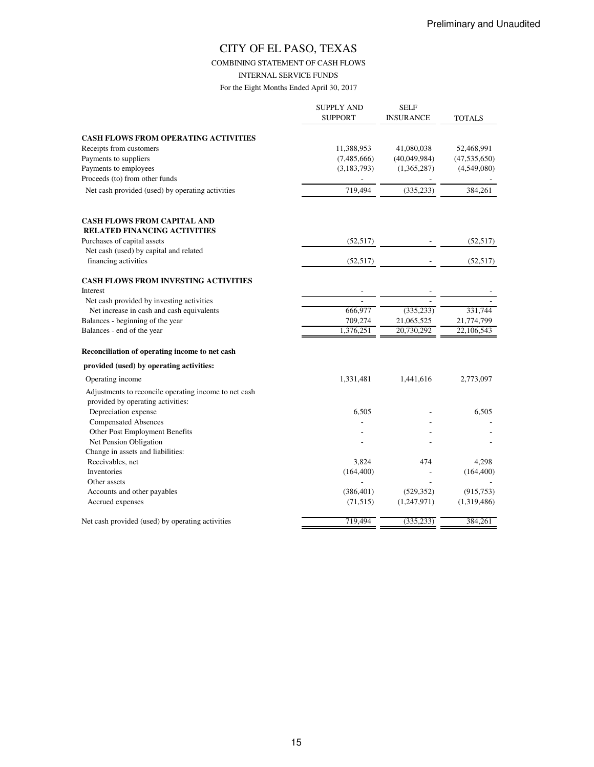COMBINING STATEMENT OF CASH FLOWS

INTERNAL SERVICE FUNDS

|                                                       | <b>SUPPLY AND</b><br><b>SUPPORT</b> | <b>SELF</b><br><b>INSURANCE</b> | <b>TOTALS</b>  |
|-------------------------------------------------------|-------------------------------------|---------------------------------|----------------|
| <b>CASH FLOWS FROM OPERATING ACTIVITIES</b>           |                                     |                                 |                |
| Receipts from customers                               | 11,388,953                          | 41,080,038                      | 52,468,991     |
| Payments to suppliers                                 | (7,485,666)                         | (40,049,984)                    | (47, 535, 650) |
| Payments to employees                                 | (3, 183, 793)                       | (1,365,287)                     | (4,549,080)    |
| Proceeds (to) from other funds                        |                                     |                                 |                |
|                                                       |                                     |                                 |                |
| Net cash provided (used) by operating activities      | 719,494                             | (335, 233)                      | 384,261        |
| <b>CASH FLOWS FROM CAPITAL AND</b>                    |                                     |                                 |                |
| <b>RELATED FINANCING ACTIVITIES</b>                   |                                     |                                 |                |
| Purchases of capital assets                           | (52, 517)                           |                                 | (52, 517)      |
| Net cash (used) by capital and related                |                                     |                                 |                |
| financing activities                                  | (52, 517)                           |                                 | (52, 517)      |
| <b>CASH FLOWS FROM INVESTING ACTIVITIES</b>           |                                     |                                 |                |
| Interest                                              |                                     |                                 |                |
| Net cash provided by investing activities             |                                     |                                 |                |
| Net increase in cash and cash equivalents             | 666,977                             | (335, 233)                      | 331,744        |
| Balances - beginning of the year                      | 709,274                             | 21,065,525                      | 21,774,799     |
| Balances - end of the year                            | 1,376,251                           | $\overline{20}$ , 730, 292      | 22,106,543     |
| Reconciliation of operating income to net cash        |                                     |                                 |                |
| provided (used) by operating activities:              |                                     |                                 |                |
| Operating income                                      | 1,331,481                           | 1,441,616                       | 2,773,097      |
| Adjustments to reconcile operating income to net cash |                                     |                                 |                |
| provided by operating activities:                     |                                     |                                 |                |
| Depreciation expense                                  | 6,505                               |                                 | 6,505          |
| <b>Compensated Absences</b>                           |                                     |                                 |                |
| Other Post Employment Benefits                        |                                     |                                 |                |
| Net Pension Obligation                                |                                     |                                 |                |
| Change in assets and liabilities:                     |                                     |                                 |                |
| Receivables, net                                      | 3,824                               | 474                             | 4,298          |
| Inventories                                           | (164, 400)                          |                                 | (164, 400)     |
| Other assets                                          |                                     |                                 |                |
| Accounts and other payables                           | (386, 401)                          | (529, 352)                      | (915, 753)     |
| Accrued expenses                                      | (71, 515)                           | (1,247,971)                     | (1,319,486)    |
| Net cash provided (used) by operating activities      | 719,494                             | (335, 233)                      | 384,261        |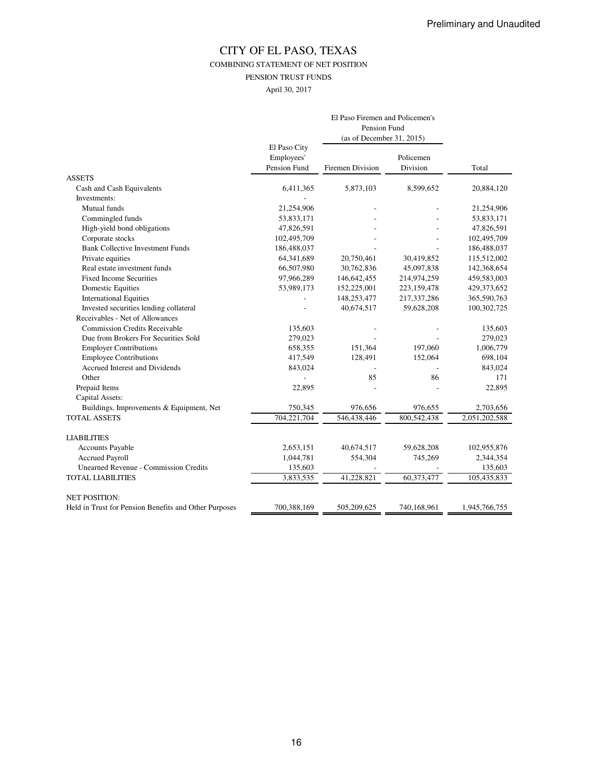COMBINING STATEMENT OF NET POSITION

PENSION TRUST FUNDS

April 30, 2017

|                                                       | El Paso Firemen and Policemen's<br>Pension Fund |                           |                       |               |  |
|-------------------------------------------------------|-------------------------------------------------|---------------------------|-----------------------|---------------|--|
|                                                       |                                                 |                           |                       |               |  |
|                                                       |                                                 | (as of December 31, 2015) |                       |               |  |
|                                                       | El Paso City<br>Employees'<br>Pension Fund      | Firemen Division          | Policemen<br>Division | Total         |  |
| <b>ASSETS</b>                                         |                                                 |                           |                       |               |  |
| Cash and Cash Equivalents                             | 6,411,365                                       | 5,873,103                 | 8,599,652             | 20,884,120    |  |
| Investments:                                          |                                                 |                           |                       |               |  |
| Mutual funds                                          | 21,254,906                                      |                           |                       | 21,254,906    |  |
| Commingled funds                                      | 53,833,171                                      |                           |                       | 53,833,171    |  |
| High-yield bond obligations                           | 47,826,591                                      |                           |                       | 47,826,591    |  |
| Corporate stocks                                      | 102,495,709                                     |                           |                       | 102,495,709   |  |
| <b>Bank Collective Investment Funds</b>               | 186,488,037                                     |                           |                       | 186,488,037   |  |
| Private equities                                      | 64,341,689                                      | 20,750,461                | 30,419,852            | 115,512,002   |  |
| Real estate investment funds                          | 66,507,980                                      | 30,762,836                | 45,097,838            | 142,368,654   |  |
| <b>Fixed Income Securities</b>                        | 97,966,289                                      | 146,642,455               | 214,974,259           | 459,583,003   |  |
| <b>Domestic Equities</b>                              | 53,989,173                                      | 152,225,001               | 223,159,478           | 429,373,652   |  |
| <b>International Equities</b>                         |                                                 | 148,253,477               | 217,337,286           | 365,590,763   |  |
| Invested securities lending collateral                |                                                 | 40,674,517                | 59,628,208            | 100,302,725   |  |
| Receivables - Net of Allowances                       |                                                 |                           |                       |               |  |
| <b>Commission Credits Receivable</b>                  | 135,603                                         |                           |                       | 135,603       |  |
| Due from Brokers For Securities Sold                  | 279,023                                         |                           |                       | 279,023       |  |
| <b>Employer Contributions</b>                         | 658,355                                         | 151,364                   | 197,060               | 1,006,779     |  |
| <b>Employee Contributions</b>                         | 417,549                                         | 128,491                   | 152,064               | 698,104       |  |
| Accrued Interest and Dividends                        | 843,024                                         |                           |                       | 843,024       |  |
| Other                                                 |                                                 | 85                        | 86                    | 171           |  |
| Prepaid Items                                         | 22,895                                          |                           |                       | 22,895        |  |
| Capital Assets:                                       |                                                 |                           |                       |               |  |
| Buildings, Improvements & Equipment, Net              | 750,345                                         | 976,656                   | 976,655               | 2,703,656     |  |
| <b>TOTAL ASSETS</b>                                   | 704,221,704                                     | 546,438,446               | 800,542,438           | 2,051,202,588 |  |
| <b>LIABILITIES</b>                                    |                                                 |                           |                       |               |  |
| <b>Accounts Payable</b>                               | 2,653,151                                       | 40,674,517                | 59,628,208            | 102,955,876   |  |
| <b>Accrued Payroll</b>                                | 1,044,781                                       | 554,304                   | 745,269               | 2,344,354     |  |
| <b>Unearned Revenue - Commission Credits</b>          | 135,603                                         |                           |                       | 135,603       |  |
| <b>TOTAL LIABILITIES</b>                              | 3,833,535                                       | 41,228,821                | 60,373,477            | 105,435,833   |  |
| <b>NET POSITION:</b>                                  |                                                 |                           |                       |               |  |
| Held in Trust for Pension Benefits and Other Purposes | 700,388,169                                     | 505,209,625               | 740.168.961           | 1,945,766,755 |  |